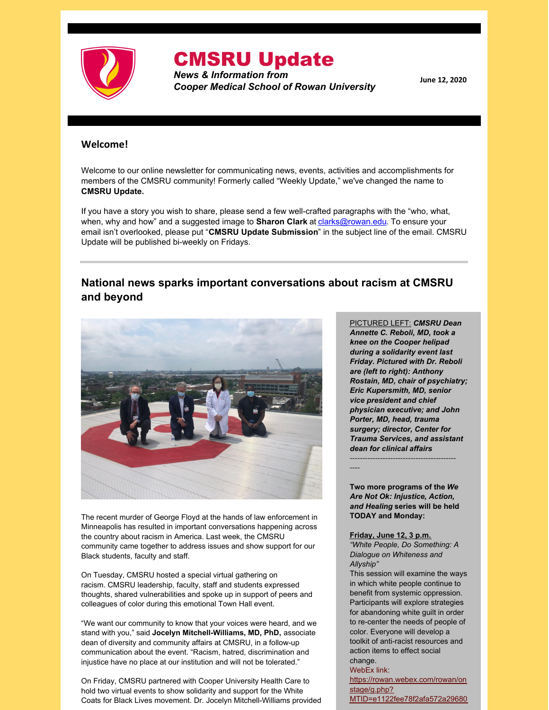

# CMSRU Update

*News & Information from Cooper Medical School of Rowan University*

**June 12, 2020**

#### **Welcome!**

Welcome to our online newsletter for communicating news, events, activities and accomplishments for members of the CMSRU community! Formerly called "Weekly Update," we've changed the name to **CMSRU Update.**

If you have a story you wish to share, please send a few well-crafted paragraphs with the "who, what, when, why and how" and a suggested image to **Sharon Clark** at **[clarks@rowan.edu](mailto:clarks@rowan.edu)**. To ensure your email isn't overlooked, please put "**CMSRU Update Submission**" in the subject line of the email. CMSRU Update will be published bi-weekly on Fridays.

# **National news sparks important conversations about racism at CMSRU and beyond**



The recent murder of George Floyd at the hands of law enforcement in Minneapolis has resulted in important conversations happening across the country about racism in America. Last week, the CMSRU community came together to address issues and show support for our Black students, faculty and staff.

On Tuesday, CMSRU hosted a special virtual gathering on racism. CMSRU leadership, faculty, staff and students expressed thoughts, shared vulnerabilities and spoke up in support of peers and colleagues of color during this emotional Town Hall event.

"We want our community to know that your voices were heard, and we stand with you," said **Jocelyn Mitchell-Williams, MD, PhD,** associate dean of diversity and community affairs at CMSRU, in a follow-up communication about the event. "Racism, hatred, discrimination and injustice have no place at our institution and will not be tolerated."

On Friday, CMSRU partnered with Cooper University Health Care to hold two virtual events to show solidarity and support for the White Coats for Black Lives movement. Dr. Jocelyn Mitchell-Williams provided PICTURED LEFT: *CMSRU Dean Annette C. Reboli, MD, took a knee on the Cooper helipad during a solidarity event last Friday. Pictured with Dr. Reboli are (left to right): Anthony Rostain, MD, chair of psychiatry; Eric Kupersmith, MD, senior vice president and chief physician executive; and John Porter, MD, head, trauma surgery; director, Center for Trauma Services, and assistant dean for clinical affairs*

**Two more programs of the** *We Are Not Ok: Injustice, Action, and Healing* **series will be held TODAY and Monday:**

------------------------------------------

----

**Friday, June 12, 3 p.m.** *"White People, Do Something: A Dialogue on Whiteness and Allyship"*

This session will examine the ways in which white people continue to benefit from systemic oppression. Participants will explore strategies for abandoning white guilt in order to re-center the needs of people of color. Everyone will develop a toolkit of anti-racist resources and action items to effect social change.

WebEx link:

[https://rowan.webex.com/rowan/on](https://rowan.webex.com/rowan/onstage/g.php?MTID=e1122fee78f2afa572a296809dc74f518) stage/g.php?

MTID=e1122fee78f2afa572a29680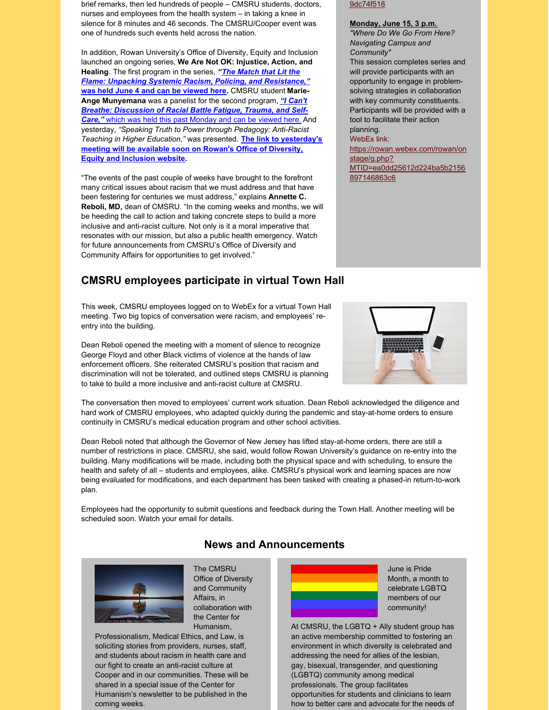brief remarks, then led hundreds of people – CMSRU students, doctors, nurses and employees from the health system – in taking a knee in silence for 8 minutes and 46 seconds. The CMSRU/Cooper event was one of hundreds such events held across the nation.

In addition, Rowan University's Office of Diversity, Equity and Inclusion launched an ongoing series, **We Are Not OK: Injustice, Action, and Healing**. The first program in the series, *"The Match that Lit the Flame: Unpacking Systemic Racism, Policing, and [Resistance,"](https://www.youtube.com/watch?v=DHQJPo7fCzA&feature=emb_title)* **was held June 4 and can be [viewed](https://www.youtube.com/watch?v=DHQJPo7fCzA&feature=emb_title) here.** CMSRU student **Marie-Ange [Munyemana](https://www.youtube.com/watch?v=ukkWWhh4EOk&feature=emb_title)** was a panelist for the second program, *"I Can't Breathe: Discussion of Racial Battle Fatigue, Trauma, and Self-Care,"* which was held this past [Monday](https://sites.rowan.edu/diversity-equity-inclusion/index.html) and can be viewed her[e.](https://sites.rowan.edu/diversity-equity-inclusion/index.html) And yesterday, *"Speaking Truth to Power through Pedagogy: Anti-Racist Teaching in Higher Education,"* was presented. **The link to [yesterday's](https://sites.rowan.edu/diversity-equity-inclusion/index.html) meeting will be available soon on Rowan's Office of Diversity, Equity and Inclusion website.**

"The events of the past couple of weeks have brought to the forefront many critical issues about racism that we must address and that have been festering for centuries we must address," explains **Annette C. Reboli, MD,** dean of CMSRU. "In the coming weeks and months, we will be heeding the call to action and taking concrete steps to build a more inclusive and anti-racist culture. Not only is it a moral imperative that resonates with our mission, but also a public health emergency. Watch for future announcements from CMSRU's Office of Diversity and Community Affairs for opportunities to get involved."

# **CMSRU employees participate in virtual Town Hall**

This week, CMSRU employees logged on to WebEx for a virtual Town Hall meeting. Two big topics of conversation were racism, and employees' reentry into the building.

Dean Reboli opened the meeting with a moment of silence to recognize George Floyd and other Black victims of violence at the hands of law enforcement officers. She reiterated CMSRU's position that racism and discrimination will not be tolerated, and outlined steps CMSRU is planning to take to build a more inclusive and anti-racist culture at CMSRU.

9dc74f518

#### **Monday, June 15, 3 p.m.**

*"Where Do We Go From Here? Navigating Campus and Community"* This session completes series and will provide participants with an opportunity to engage in problemsolving strategies in collaboration with key community constituents. Participants will be provided with a tool to facilitate their action planning. WebEx link:

[https://rowan.webex.com/rowan/on](https://rowan.webex.com/rowan/onstage/g.php?MTID=ea0dd25612d224ba5b2156897146863c6) stage/g.php? MTID=ea0dd25612d224ba5b2156 897146863c6



The conversation then moved to employees' current work situation. Dean Reboli acknowledged the diligence and hard work of CMSRU employees, who adapted quickly during the pandemic and stay-at-home orders to ensure continuity in CMSRU's medical education program and other school activities.

Dean Reboli noted that although the Governor of New Jersey has lifted stay-at-home orders, there are still a number of restrictions in place. CMSRU, she said, would follow Rowan University's guidance on re-entry into the building. Many modifications will be made, including both the physical space and with scheduling, to ensure the health and safety of all – students and employees, alike. CMSRU's physical work and learning spaces are now being evaluated for modifications, and each department has been tasked with creating a phased-in return-to-work plan.

Employees had the opportunity to submit questions and feedback during the Town Hall. Another meeting will be scheduled soon. Watch your email for details.



**News and Announcements**

The CMSRU Office of Diversity and Community Affairs, in collaboration with the Center for Humanism,

Professionalism, Medical Ethics, and Law, is soliciting stories from providers, nurses, staff, and students about racism in health care and our fight to create an anti-racist culture at Cooper and in our communities. These will be shared in a special issue of the Center for Humanism's newsletter to be published in the coming weeks.



June is Pride Month, a month to celebrate LGBTQ members of our community!

At CMSRU, the LGBTQ + Ally student group has an active membership committed to fostering an environment in which diversity is celebrated and addressing the need for allies of the lesbian, gay, bisexual, transgender, and questioning (LGBTQ) community among medical professionals. The group facilitates opportunities for students and clinicians to learn how to better care and advocate for the needs of